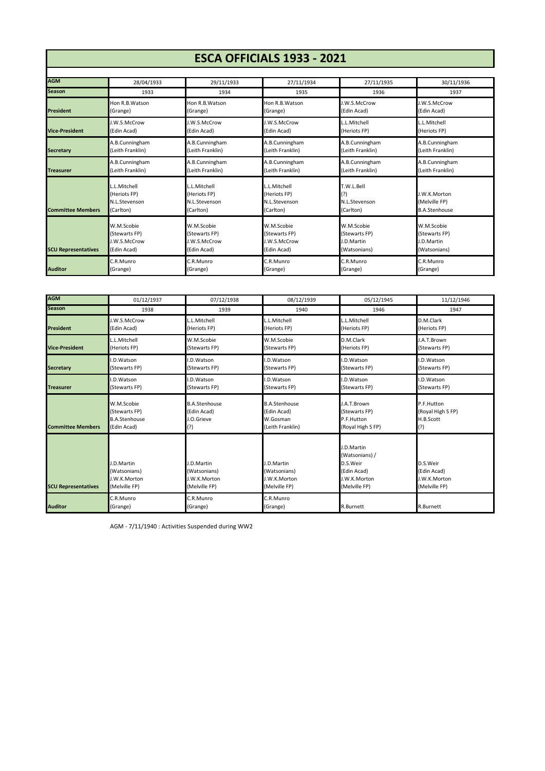## **ESCA OFFICIALS 1933 - 2021**

| <b>AGM</b>                 | 28/04/1933                                                 | 29/11/1933                                                 | 27/11/1934                                                 | 27/11/1935                                      | 30/11/1936                                            |
|----------------------------|------------------------------------------------------------|------------------------------------------------------------|------------------------------------------------------------|-------------------------------------------------|-------------------------------------------------------|
| <b>Season</b>              | 1933                                                       | 1934                                                       | 1935                                                       | 1936                                            | 1937                                                  |
| President                  | Hon R.B. Watson                                            | Hon R.B. Watson                                            | Hon R.B. Watson                                            | <b>J.W.S.McCrow</b>                             | J.W.S.McCrow                                          |
|                            | (Grange)                                                   | (Grange)                                                   | (Grange)                                                   | (Edin Acad)                                     | (Edin Acad)                                           |
| <b>Vice-President</b>      | J.W.S.McCrow                                               | J.W.S.McCrow                                               | J.W.S.McCrow                                               | L.L.Mitchell                                    | L.L.Mitchell                                          |
|                            | (Edin Acad)                                                | (Edin Acad)                                                | (Edin Acad)                                                | (Heriots FP)                                    | (Heriots FP)                                          |
| <b>Secretary</b>           | A.B.Cunningham                                             | A.B.Cunningham                                             | A.B.Cunningham                                             | A.B.Cunningham                                  | A.B.Cunningham                                        |
|                            | (Leith Franklin)                                           | (Leith Franklin)                                           | (Leith Franklin)                                           | (Leith Franklin)                                | (Leith Franklin)                                      |
| <b>Treasurer</b>           | A.B.Cunningham                                             | A.B.Cunningham                                             | A.B.Cunningham                                             | A.B.Cunningham                                  | A.B.Cunningham                                        |
|                            | (Leith Franklin)                                           | (Leith Franklin)                                           | (Leith Franklin)                                           | (Leith Franklin)                                | (Leith Franklin)                                      |
| <b>Committee Members</b>   | L.L.Mitchell<br>(Heriots FP)<br>N.L.Stevenson<br>(Carlton) | L.L.Mitchell<br>(Heriots FP)<br>N.L.Stevenson<br>(Carlton) | L.L.Mitchell<br>(Heriots FP)<br>N.L.Stevenson<br>(Carlton) | T.W.L.Bell<br>(?)<br>N.L.Stevenson<br>(Carlton) | J.W.K.Morton<br>(Melville FP)<br><b>B.A.Stenhouse</b> |
| <b>SCU Representatives</b> | W.M.Scobie                                                 | W.M.Scobie                                                 | W.M.Scobie                                                 | W.M.Scobie                                      | W.M.Scobie                                            |
|                            | (Stewarts FP)                                              | (Stewarts FP)                                              | (Stewarts FP)                                              | (Stewarts FP)                                   | (Stewarts FP)                                         |
|                            | J.W.S.McCrow                                               | <b>J.W.S.McCrow</b>                                        | J.W.S.McCrow                                               | J.D.Martin                                      | <b>I.D.Martin</b>                                     |
|                            | (Edin Acad)                                                | (Edin Acad)                                                | (Edin Acad)                                                | (Watsonians)                                    | (Watsonians)                                          |
| <b>Auditor</b>             | C.R.Munro                                                  | C.R.Munro                                                  | C.R.Munro                                                  | C.R.Munro                                       | C.R.Munro                                             |
|                            | (Grange)                                                   | (Grange)                                                   | (Grange)                                                   | (Grange)                                        | (Grange)                                              |

| <b>AGM</b>                 | 01/12/1937                                                  | 07/12/1938                                                  | 08/12/1939                                                  | 05/12/1945                                                                               | 11/12/1946                                               |
|----------------------------|-------------------------------------------------------------|-------------------------------------------------------------|-------------------------------------------------------------|------------------------------------------------------------------------------------------|----------------------------------------------------------|
| <b>Season</b>              | 1938                                                        | 1939                                                        | 1940                                                        | 1946                                                                                     | 1947                                                     |
| President                  | J.W.S.McCrow                                                | .L.Mitchell                                                 | L.Mitchell                                                  | L.L.Mitchell                                                                             | D.M.Clark                                                |
|                            | (Edin Acad)                                                 | (Heriots FP)                                                | (Heriots FP)                                                | (Heriots FP)                                                                             | (Heriots FP)                                             |
| <b>Vice-President</b>      | L.L.Mitchell                                                | W.M.Scobie                                                  | W.M.Scobie                                                  | D.M.Clark                                                                                | J.A.T.Brown                                              |
|                            | (Heriots FP)                                                | (Stewarts FP)                                               | (Stewarts FP)                                               | (Heriots FP)                                                                             | (Stewarts FP)                                            |
| <b>Secretary</b>           | I.D.Watson                                                  | I.D.Watson                                                  | .D.Watson                                                   | I.D.Watson                                                                               | I.D.Watson                                               |
|                            | (Stewarts FP)                                               | (Stewarts FP)                                               | (Stewarts FP)                                               | (Stewarts FP)                                                                            | (Stewarts FP)                                            |
| <b>Treasurer</b>           | I.D.Watson                                                  | .D.Watson                                                   | .D.Watson                                                   | I.D.Watson                                                                               | I.D.Watson                                               |
|                            | (Stewarts FP)                                               | (Stewarts FP)                                               | (Stewarts FP)                                               | (Stewarts FP)                                                                            | (Stewarts FP)                                            |
| <b>Committee Members</b>   | W.M.Scobie                                                  | <b>B.A.Stenhouse</b>                                        | <b>B.A.Stenhouse</b>                                        | J.A.T.Brown                                                                              | P.F.Hutton                                               |
|                            | (Stewarts FP)                                               | (Edin Acad)                                                 | (Edin Acad)                                                 | (Stewarts FP)                                                                            | (Royal High S FP)                                        |
|                            | <b>B.A.Stenhouse</b>                                        | J.O.Grieve                                                  | W.Gosman                                                    | P.F.Hutton                                                                               | H.B.Scott                                                |
|                            | (Edin Acad)                                                 | (?)                                                         | (Leith Franklin)                                            | (Royal High S FP)                                                                        | (?)                                                      |
| <b>SCU Representatives</b> | I.D.Martin<br>(Watsonians)<br>J.W.K.Morton<br>(Melville FP) | J.D.Martin<br>(Watsonians)<br>J.W.K.Morton<br>(Melville FP) | J.D.Martin<br>(Watsonians)<br>J.W.K.Morton<br>(Melville FP) | J.D.Martin<br>(Watsonians) /<br>D.S.Weir<br>(Edin Acad)<br>J.W.K.Morton<br>(Melville FP) | D.S.Weir<br>(Edin Acad)<br>J.W.K.Morton<br>(Melville FP) |
| <b>Auditor</b>             | C.R.Munro<br>(Grange)                                       | C.R.Munro<br>(Grange)                                       | C.R.Munro<br>(Grange)                                       | R.Burnett                                                                                | R.Burnett                                                |

AGM - 7/11/1940 : Activities Suspended during WW2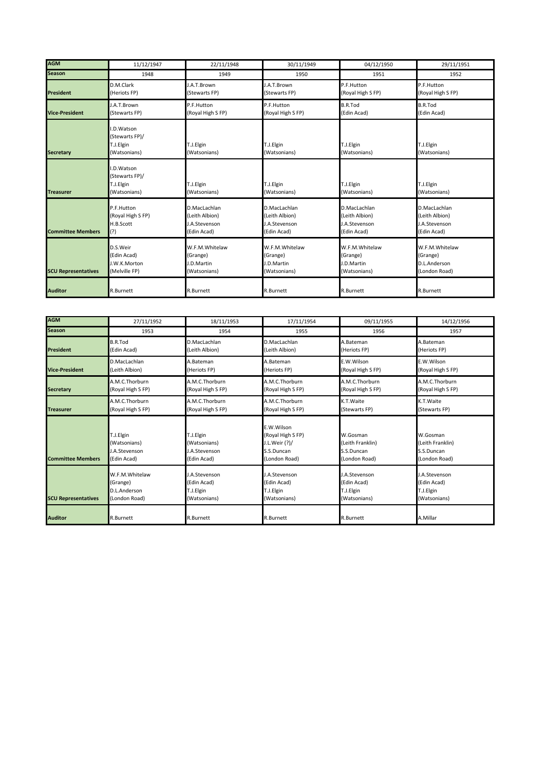| <b>AGM</b>                 | 11/12/1947                                                | 22/11/1948                                                     | 30/11/1949                                                     | 04/12/1950                                                            | 29/11/1951                                                     |
|----------------------------|-----------------------------------------------------------|----------------------------------------------------------------|----------------------------------------------------------------|-----------------------------------------------------------------------|----------------------------------------------------------------|
| <b>Season</b>              | 1948                                                      | 1949                                                           | 1950                                                           | 1951                                                                  | 1952                                                           |
| <b>President</b>           | D.M.Clark<br>(Heriots FP)                                 | J.A.T.Brown<br>(Stewarts FP)                                   | J.A.T.Brown<br>(Stewarts FP)                                   | P.F.Hutton<br>(Royal High S FP)                                       | P.F.Hutton<br>(Royal High S FP)                                |
| <b>Vice-President</b>      | J.A.T.Brown<br>(Stewarts FP)                              | P.F.Hutton<br>(Royal High S FP)                                | P.F.Hutton<br>(Royal High S FP)                                | <b>B.R.Tod</b><br>(Edin Acad)                                         | <b>B.R.Tod</b><br>(Edin Acad)                                  |
| <b>Secretary</b>           | .D.Watson<br>(Stewarts FP)/<br>T.J.Elgin<br>(Watsonians)  | T.J.Elgin<br>(Watsonians)                                      | T.J.Elgin<br>(Watsonians)                                      | T.J.Elgin<br>(Watsonians)                                             | T.J.Elgin<br>(Watsonians)                                      |
| <b>Treasurer</b>           | I.D.Watson<br>(Stewarts FP)/<br>T.J.Elgin<br>(Watsonians) | T.J.Elgin<br>(Watsonians)                                      | T.J.Elgin<br>(Watsonians)                                      | T.J.Elgin<br>(Watsonians)                                             | T.J.Elgin<br>(Watsonians)                                      |
| <b>Committee Members</b>   | P.F.Hutton<br>(Royal High S FP)<br>H.B.Scott<br>(?)       | D.MacLachlan<br>(Leith Albion)<br>J.A.Stevenson<br>(Edin Acad) | D.MacLachlan<br>(Leith Albion)<br>J.A.Stevenson<br>(Edin Acad) | D.MacLachlan<br>(Leith Albion)<br><b>J.A.Stevenson</b><br>(Edin Acad) | D.MacLachlan<br>(Leith Albion)<br>J.A.Stevenson<br>(Edin Acad) |
| <b>SCU Representatives</b> | D.S.Weir<br>(Edin Acad)<br>J.W.K.Morton<br>(Melville FP)  | W.F.M.Whitelaw<br>(Grange)<br>J.D.Martin<br>(Watsonians)       | W.F.M.Whitelaw<br>(Grange)<br>J.D.Martin<br>(Watsonians)       | W.F.M.Whitelaw<br>(Grange)<br><b>I.D.Martin</b><br>(Watsonians)       | W.F.M.Whitelaw<br>(Grange)<br>D.L.Anderson<br>(London Road)    |
| <b>Auditor</b>             | <b>R.Burnett</b>                                          | R.Burnett                                                      | R.Burnett                                                      | R.Burnett                                                             | R.Burnett                                                      |

| <b>AGM</b>                 | 27/11/1952                                                       | 18/11/1953                                                | 17/11/1954                                                                      | 09/11/1955                                                  | 14/12/1956                                                  |
|----------------------------|------------------------------------------------------------------|-----------------------------------------------------------|---------------------------------------------------------------------------------|-------------------------------------------------------------|-------------------------------------------------------------|
| <b>Season</b>              | 1953                                                             | 1954                                                      | 1955                                                                            | 1956                                                        | 1957                                                        |
| <b>President</b>           | <b>B.R.Tod</b>                                                   | D.MacLachlan                                              | D.MacLachlan                                                                    | A.Bateman                                                   | A.Bateman                                                   |
|                            | (Edin Acad)                                                      | (Leith Albion)                                            | (Leith Albion)                                                                  | (Heriots FP)                                                | (Heriots FP)                                                |
| <b>Vice-President</b>      | D.MacLachlan                                                     | A.Bateman                                                 | A.Bateman                                                                       | E.W.Wilson                                                  | E.W.Wilson                                                  |
|                            | (Leith Albion)                                                   | (Heriots FP)                                              | (Heriots FP)                                                                    | (Royal High S FP)                                           | (Royal High S FP)                                           |
| <b>Secretary</b>           | A.M.C.Thorburn                                                   | A.M.C.Thorburn                                            | A.M.C.Thorburn                                                                  | A.M.C.Thorburn                                              | A.M.C.Thorburn                                              |
|                            | (Royal High S FP)                                                | (Royal High S FP)                                         | (Royal High S FP)                                                               | (Royal High S FP)                                           | (Royal High S FP)                                           |
| <b>Treasurer</b>           | A.M.C.Thorburn                                                   | A.M.C.Thorburn                                            | A.M.C.Thorburn                                                                  | K.T.Waite                                                   | K.T. Waite                                                  |
|                            | (Royal High S FP)                                                | (Royal High S FP)                                         | (Royal High S FP)                                                               | (Stewarts FP)                                               | (Stewarts FP)                                               |
| <b>Committee Members</b>   | T.J.Elgin<br>(Watsonians)<br><b>J.A.Stevenson</b><br>(Edin Acad) | T.J.Elgin<br>(Watsonians)<br>J.A.Stevenson<br>(Edin Acad) | E.W.Wilson<br>(Royal High S FP)<br>J.L.Weir (?)/<br>S.S.Duncan<br>(London Road) | W.Gosman<br>(Leith Franklin)<br>S.S.Duncan<br>(London Road) | W.Gosman<br>(Leith Franklin)<br>S.S.Duncan<br>(London Road) |
| <b>SCU Representatives</b> | W.F.M.Whitelaw                                                   | J.A.Stevenson                                             | I.A.Stevenson                                                                   | J.A.Stevenson                                               | J.A.Stevenson                                               |
|                            | (Grange)                                                         | (Edin Acad)                                               | (Edin Acad)                                                                     | (Edin Acad)                                                 | (Edin Acad)                                                 |
|                            | D.L.Anderson                                                     | T.J.Elgin                                                 | T.J.Elgin                                                                       | T.J.Elgin                                                   | T.J.Elgin                                                   |
|                            | (London Road)                                                    | (Watsonians)                                              | (Watsonians)                                                                    | (Watsonians)                                                | (Watsonians)                                                |
| <b>Auditor</b>             | R.Burnett                                                        | R.Burnett                                                 | R.Burnett                                                                       | R.Burnett                                                   | A.Millar                                                    |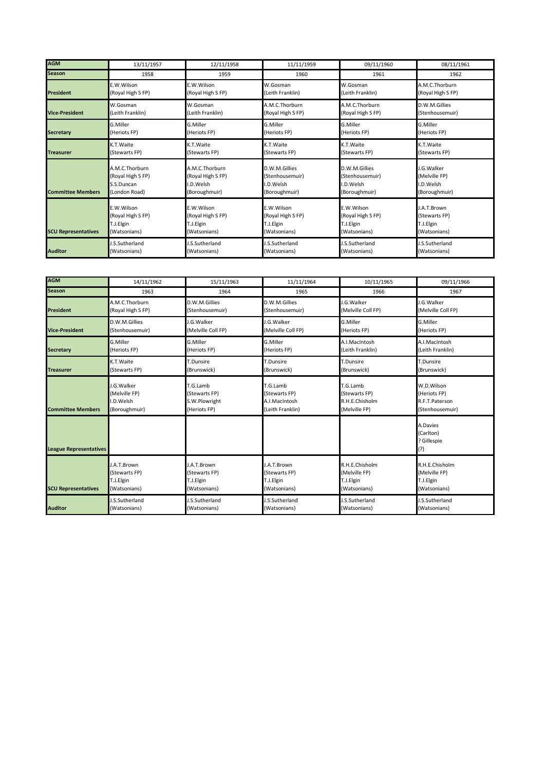| <b>AGM</b>                 | 13/11/1957        | 12/11/1958            | 11/11/1959            | 09/11/1960            | 08/11/1961            |
|----------------------------|-------------------|-----------------------|-----------------------|-----------------------|-----------------------|
| <b>Season</b>              | 1958              | 1959                  | 1960                  | 1961                  | 1962                  |
| <b>President</b>           | E.W.Wilson        | E.W.Wilson            | W.Gosman              | W.Gosman              | A.M.C.Thorburn        |
|                            | (Royal High S FP) | (Royal High S FP)     | (Leith Franklin)      | (Leith Franklin)      | (Royal High S FP)     |
| <b>Vice-President</b>      | W.Gosman          | W.Gosman              | A.M.C.Thorburn        | A.M.C.Thorburn        | D.W.M.Gillies         |
|                            | (Leith Franklin)  | (Leith Franklin)      | (Royal High S FP)     | (Royal High S FP)     | (Stenhousemuir)       |
| <b>Secretary</b>           | G.Miller          | G.Miller              | G.Miller              | G.Miller              | G.Miller              |
|                            | (Heriots FP)      | (Heriots FP)          | (Heriots FP)          | (Heriots FP)          | (Heriots FP)          |
| <b>Treasurer</b>           | K.T. Waite        | K.T.Waite             | K.T. Waite            | K.T.Waite             | K.T.Waite             |
|                            | (Stewarts FP)     | (Stewarts FP)         | (Stewarts FP)         | (Stewarts FP)         | (Stewarts FP)         |
| <b>Committee Members</b>   | A.M.C.Thorburn    | A.M.C.Thorburn        | D.W.M.Gillies         | D.W.M.Gillies         | J.G.Walker            |
|                            | (Royal High S FP) | (Royal High S FP)     | (Stenhousemuir)       | (Stenhousemuir)       | (Melville FP)         |
|                            | S.S.Duncan        | I.D.Welsh             | I.D.Welsh             | I.D.Welsh             | I.D.Welsh             |
|                            | (London Road)     | (Boroughmuir)         | (Boroughmuir)         | (Boroughmuir)         | (Boroughmuir)         |
| <b>SCU Representatives</b> | E.W.Wilson        | E.W.Wilson            | E.W.Wilson            | E.W.Wilson            | J.A.T.Brown           |
|                            | (Royal High S FP) | (Royal High S FP)     | (Royal High S FP)     | (Royal High S FP)     | (Stewarts FP)         |
|                            | T.J.Elgin         | T.J.Elgin             | T.J.Elgin             | T.J.Elgin             | T.J.Elgin             |
|                            | (Watsonians)      | (Watsonians)          | (Watsonians)          | (Watsonians)          | (Watsonians)          |
| <b>Auditor</b>             | I.S.Sutherland    | <b>J.S.Sutherland</b> | <b>I.S.Sutherland</b> | <b>J.S.Sutherland</b> | <b>J.S.Sutherland</b> |
|                            | (Watsonians)      | (Watsonians)          | (Watsonians)          | (Watsonians)          | (Watsonians)          |

| <b>AGM</b>                    | 14/11/1962        | 15/11/1963         | 11/11/1964         | 10/11/1965         | 09/11/1966                                  |
|-------------------------------|-------------------|--------------------|--------------------|--------------------|---------------------------------------------|
| <b>Season</b>                 | 1963              | 1964               | 1965               | 1966               | 1967                                        |
| <b>President</b>              | A.M.C.Thorburn    | D.W.M.Gillies      | D.W.M.Gillies      | J.G. Walker        | I.G. Walker                                 |
|                               | (Royal High S FP) | (Stenhousemuir)    | (Stenhousemuir)    | (Melville Coll FP) | (Melville Coll FP)                          |
| <b>Vice-President</b>         | D.W.M.Gillies     | J.G.Walker         | J.G.Walker         | G.Miller           | G.Miller                                    |
|                               | (Stenhousemuir)   | (Melville Coll FP) | (Melville Coll FP) | (Heriots FP)       | (Heriots FP)                                |
| <b>Secretary</b>              | G.Miller          | G.Miller           | G.Miller           | A.I.MacIntosh      | A.I.MacIntosh                               |
|                               | (Heriots FP)      | (Heriots FP)       | (Heriots FP)       | (Leith Franklin)   | (Leith Franklin)                            |
| <b>Treasurer</b>              | K.T. Waite        | T.Dunsire          | T.Dunsire          | T.Dunsire          | T.Dunsire                                   |
|                               | (Stewarts FP)     | (Brunswick)        | (Brunswick)        | (Brunswick)        | (Brunswick)                                 |
| <b>Committee Members</b>      | J.G. Walker       | T.G.Lamb           | T.G.Lamb           | T.G.Lamb           | W.D.Wilson                                  |
|                               | (Melville FP)     | (Stewarts FP)      | (Stewarts FP)      | (Stewarts FP)      | (Heriots FP)                                |
|                               | I.D.Welsh         | S.W.Plowright      | A.I.MacIntosh      | R.H.E.Chisholm     | R.F.T.Paterson                              |
|                               | (Boroughmuir)     | (Heriots FP)       | (Leith Franklin)   | (Melville FP)      | (Stenhousemuir)                             |
| <b>League Representatives</b> |                   |                    |                    |                    | A.Davies<br>(Carlton)<br>? Gillespie<br>(?) |
| <b>SCU Representatives</b>    | J.A.T.Brown       | J.A.T.Brown        | J.A.T.Brown        | R.H.E.Chisholm     | R.H.E.Chisholm                              |
|                               | (Stewarts FP)     | (Stewarts FP)      | (Stewarts FP)      | (Melville FP)      | (Melville FP)                               |
|                               | T.J.Elgin         | T.J.Elgin          | T.J.Elgin          | T.J.Elgin          | T.J.Elgin                                   |
|                               | (Watsonians)      | (Watsonians)       | (Watsonians)       | (Watsonians)       | (Watsonians)                                |
| <b>Auditor</b>                | J.S.Sutherland    | J.S.Sutherland     | J.S.Sutherland     | J.S.Sutherland     | J.S.Sutherland                              |
|                               | (Watsonians)      | (Watsonians)       | (Watsonians)       | (Watsonians)       | (Watsonians)                                |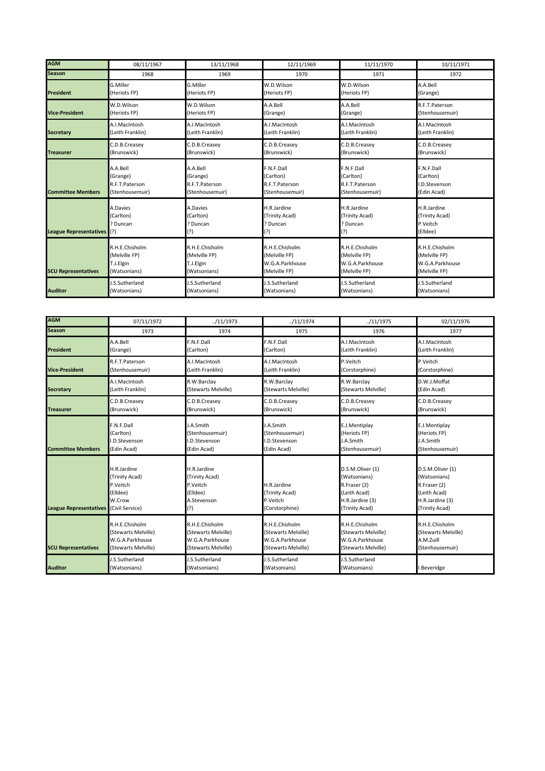| <b>AGM</b>                    | 08/11/1967       | 13/11/1968       | 12/11/1969       | 11/11/1970       | 10/11/1971       |
|-------------------------------|------------------|------------------|------------------|------------------|------------------|
| <b>Season</b>                 | 1968             | 1969             | 1970             | 1971             | 1972             |
| <b>President</b>              | G.Miller         | G.Miller         | W.D.Wilson       | W.D.Wilson       | A.A.Bell         |
|                               | (Heriots FP)     | (Heriots FP)     | (Heriots FP)     | (Heriots FP)     | (Grange)         |
| <b>Vice-President</b>         | W.D.Wilson       | W.D.Wilson       | A.A.Bell         | A.A.Bell         | R.F.T.Paterson   |
|                               | (Heriots FP)     | (Heriots FP)     | (Grange)         | (Grange)         | (Stenhousemuir)  |
| <b>Secretary</b>              | A.I.MacIntosh    | A.I.MacIntosh    | A.I.MacIntosh    | A.I.MacIntosh    | A.I.MacIntosh    |
|                               | (Leith Franklin) | (Leith Franklin) | (Leith Franklin) | (Leith Franklin) | (Leith Franklin) |
| <b>Treasurer</b>              | C.D.B.Creasey    | C.D.B.Creasey    | C.D.B.Creasey    | C.D.B.Creasey    | C.D.B.Creasey    |
|                               | (Brunswick)      | (Brunswick)      | (Brunswick)      | (Brunswick)      | (Brunswick)      |
| <b>Committee Members</b>      | A.A.Bell         | A.A.Bell         | F.N.F.Dall       | F.N.F.Dall       | F.N.F.Dall       |
|                               | (Grange)         | (Grange)         | (Carlton)        | (Carlton)        | (Carlton)        |
|                               | R.F.T.Paterson   | R.F.T.Paterson   | R.F.T.Paterson   | R.F.T.Paterson   | I.D.Stevenson    |
|                               | (Stenhousemuir)  | (Stenhousemuir)  | (Stenhousemuir)  | (Stenhousemuir)  | (Edin Acad)      |
| <b>League Representatives</b> | A.Davies         | A.Davies         | H.R.Jardine      | H.R.Jardine      | H.R.Jardine      |
|                               | (Carlton)        | (Carlton)        | (Trinity Acad)   | (Trinity Acad)   | (Trinity Acad)   |
|                               | ? Duncan         | Duncan           | ? Duncan         | ? Duncan         | P.Veitch         |
|                               | (?)              | (?)              | (?)              | (?)              | (Elldee)         |
| <b>SCU Representatives</b>    | R.H.E.Chisholm   | R.H.E.Chisholm   | R.H.E.Chisholm   | R.H.E.Chisholm   | R.H.E.Chisholm   |
|                               | (Melville FP)    | (Melville FP)    | (Melville FP)    | (Melville FP)    | (Melville FP)    |
|                               | T.J.Elgin        | T.J.Elgin        | W.G.A.Parkhouse  | W.G.A.Parkhouse  | W.G.A.Parkhouse  |
|                               | (Watsonians)     | (Watsonians)     | (Melville FP)    | (Melville FP)    | (Melville FP)    |
| <b>Auditor</b>                | J.S.Sutherland   | I.S.Sutherland   | J.S.Sutherland   | J.S.Sutherland   | J.S.Sutherland   |
|                               | (Watsonians)     | (Watsonians)     | (Watsonians)     | (Watsonians)     | (Watsonians)     |

| <b>AGM</b>                    | 07/11/1972                                                                         | ./11/1973                                                                   | /11/1974                                                    | ./11/1975                                                                                             | 02/11/1976                                                                                            |
|-------------------------------|------------------------------------------------------------------------------------|-----------------------------------------------------------------------------|-------------------------------------------------------------|-------------------------------------------------------------------------------------------------------|-------------------------------------------------------------------------------------------------------|
| <b>Season</b>                 | 1973                                                                               | 1974                                                                        | 1975                                                        | 1976                                                                                                  | 1977                                                                                                  |
| <b>President</b>              | A.A.Bell                                                                           | F.N.F.Dall                                                                  | F.N.F.Dall                                                  | A.I.MacIntosh                                                                                         | A.I.MacIntosh                                                                                         |
|                               | (Grange)                                                                           | (Carlton)                                                                   | (Carlton)                                                   | (Leith Franklin)                                                                                      | (Leith Franklin)                                                                                      |
| <b>Vice-President</b>         | R.F.T.Paterson                                                                     | A.I.MacIntosh                                                               | A.I.MacIntosh                                               | P.Veitch                                                                                              | P.Veitch                                                                                              |
|                               | (Stenhousemuir)                                                                    | (Leith Franklin)                                                            | (Leith Franklin)                                            | (Corstorphine)                                                                                        | (Corstorphine)                                                                                        |
| <b>Secretary</b>              | A.I.MacIntosh                                                                      | R.W.Barclay                                                                 | R.W.Barclay                                                 | R.W.Barclay                                                                                           | D.W.J.Moffat                                                                                          |
|                               | (Leith Franklin)                                                                   | (Stewarts Melville)                                                         | (Stewarts Melville)                                         | (Stewarts Melville)                                                                                   | (Edin Acad)                                                                                           |
| <b>Treasurer</b>              | C.D.B.Creasey                                                                      | C.D.B.Creasey                                                               | C.D.B.Creasey                                               | C.D.B.Creasey                                                                                         | C.D.B.Creasey                                                                                         |
|                               | (Brunswick)                                                                        | (Brunswick)                                                                 | (Brunswick)                                                 | (Brunswick)                                                                                           | (Brunswick)                                                                                           |
| <b>Committee Members</b>      | F.N.F.Dall                                                                         | J.A.Smith                                                                   | J.A.Smith                                                   | E.J.Mentiplay                                                                                         | E.J.Mentiplay                                                                                         |
|                               | (Carlton)                                                                          | (Stenhousemuir)                                                             | (Stenhousemuir)                                             | (Heriots FP)                                                                                          | (Heriots FP)                                                                                          |
|                               | I.D.Stevenson                                                                      | <b>.D.Stevenson</b>                                                         | .D.Stevenson                                                | J.A.Smith                                                                                             | J.A.Smith                                                                                             |
|                               | (Edin Acad)                                                                        | (Edin Acad)                                                                 | (Edin Acad)                                                 | (Stenhousemuir)                                                                                       | (Stenhousemuir)                                                                                       |
| <b>League Representatives</b> | H.R.Jardine<br>(Trinity Acad)<br>P.Veitch<br>(Elldee)<br>W.Crow<br>(Civil Service) | H.R.Jardine<br>(Trinity Acad)<br>P.Veitch<br>(Elldee)<br>A.Stevenson<br>(?) | H.R.Jardine<br>(Trinity Acad)<br>P.Veitch<br>(Corstorphine) | D.S.M.Oliver (1)<br>(Watsonians)<br>R.Fraser (2)<br>(Leith Acad)<br>H.R.Jardine (3)<br>(Trinity Acad) | D.S.M.Oliver (1)<br>(Watsonians)<br>R.Fraser (2)<br>(Leith Acad)<br>H.R.Jardine (3)<br>(Trinity Acad) |
| <b>SCU Representatives</b>    | R.H.E.Chisholm                                                                     | R.H.E.Chisholm                                                              | R.H.E.Chisholm                                              | R.H.E.Chisholm                                                                                        | R.H.E.Chisholm                                                                                        |
|                               | (Stewarts Melville)                                                                | (Stewarts Melville)                                                         | (Stewarts Melville)                                         | (Stewarts Melville)                                                                                   | (Stewarts Melville)                                                                                   |
|                               | W.G.A.Parkhouse                                                                    | W.G.A.Parkhouse                                                             | W.G.A.Parkhouse                                             | W.G.A.Parkhouse                                                                                       | A.M.Zuill                                                                                             |
|                               | (Stewarts Melville)                                                                | (Stewarts Melville)                                                         | (Stewarts Melville)                                         | (Stewarts Melville)                                                                                   | (Stenhousemuir)                                                                                       |
| <b>Auditor</b>                | I.S.Sutherland<br>(Watsonians)                                                     | <b>J.S.Sutherland</b><br>(Watsonians)                                       | J.S.Sutherland<br>(Watsonians)                              | <b>J.S.Sutherland</b><br>(Watsonians)                                                                 | I.Beveridge                                                                                           |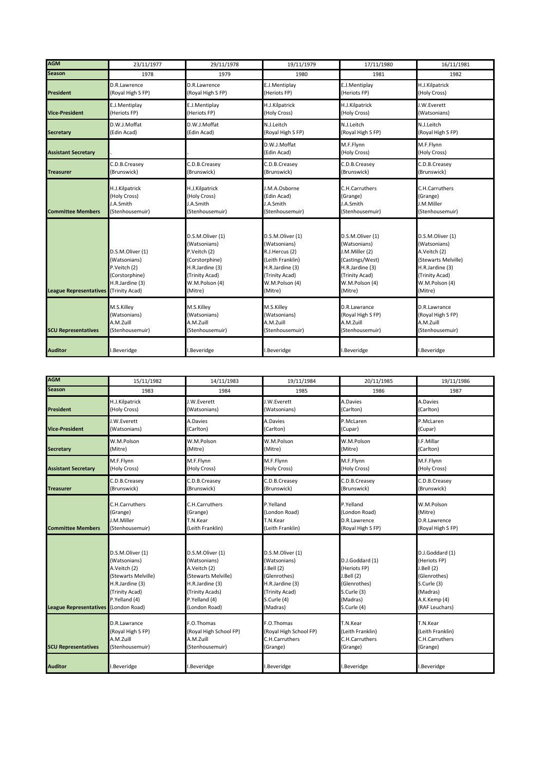| <b>AGM</b>                    | 23/11/1977                                                                                              | 29/11/1978                                                                                                                           | 19/11/1979                                                                                                                               | 17/11/1980                                                                                                                              | 16/11/1981                                                                                                                                |
|-------------------------------|---------------------------------------------------------------------------------------------------------|--------------------------------------------------------------------------------------------------------------------------------------|------------------------------------------------------------------------------------------------------------------------------------------|-----------------------------------------------------------------------------------------------------------------------------------------|-------------------------------------------------------------------------------------------------------------------------------------------|
| <b>Season</b>                 | 1978                                                                                                    | 1979                                                                                                                                 | 1980                                                                                                                                     | 1981                                                                                                                                    | 1982                                                                                                                                      |
| <b>President</b>              | D.R.Lawrence                                                                                            | D.R.Lawrence                                                                                                                         | E.J.Mentiplay                                                                                                                            | E.J.Mentiplay                                                                                                                           | H.J.Kilpatrick                                                                                                                            |
|                               | (Royal High S FP)                                                                                       | (Royal High S FP)                                                                                                                    | (Heriots FP)                                                                                                                             | (Heriots FP)                                                                                                                            | (Holy Cross)                                                                                                                              |
| <b>Vice-President</b>         | E.J.Mentiplay                                                                                           | E.J.Mentiplay                                                                                                                        | H.J.Kilpatrick                                                                                                                           | H.J.Kilpatrick                                                                                                                          | J.W.Everett                                                                                                                               |
|                               | (Heriots FP)                                                                                            | (Heriots FP)                                                                                                                         | (Holy Cross)                                                                                                                             | (Holy Cross)                                                                                                                            | (Watsonians)                                                                                                                              |
| <b>Secretary</b>              | D.W.J.Moffat                                                                                            | D.W.J.Moffat                                                                                                                         | N.J.Leitch                                                                                                                               | N.J.Leitch                                                                                                                              | N.J.Leitch                                                                                                                                |
|                               | (Edin Acad)                                                                                             | (Edin Acad)                                                                                                                          | (Royal High S FP)                                                                                                                        | (Royal High S FP)                                                                                                                       | (Royal High S FP)                                                                                                                         |
| <b>Assistant Secretary</b>    |                                                                                                         |                                                                                                                                      | D.W.J.Moffat<br>(Edin Acad)                                                                                                              | M.F.Flynn<br>(Holy Cross)                                                                                                               | M.F.Flynn<br>(Holy Cross)                                                                                                                 |
| <b>Treasurer</b>              | C.D.B.Creasey                                                                                           | C.D.B.Creasey                                                                                                                        | C.D.B.Creasey                                                                                                                            | C.D.B.Creasey                                                                                                                           | C.D.B.Creasey                                                                                                                             |
|                               | (Brunswick)                                                                                             | (Brunswick)                                                                                                                          | (Brunswick)                                                                                                                              | (Brunswick)                                                                                                                             | (Brunswick)                                                                                                                               |
| <b>Committee Members</b>      | H.J.Kilpatrick                                                                                          | H.J.Kilpatrick                                                                                                                       | J.M.A.Osborne                                                                                                                            | C.H.Carruthers                                                                                                                          | C.H.Carruthers                                                                                                                            |
|                               | (Holy Cross)                                                                                            | (Holy Cross)                                                                                                                         | (Edin Acad)                                                                                                                              | (Grange)                                                                                                                                | (Grange)                                                                                                                                  |
|                               | J.A.Smith                                                                                               | J.A.Smith                                                                                                                            | J.A.Smith                                                                                                                                | J.A.Smith                                                                                                                               | J.M.Miller                                                                                                                                |
|                               | (Stenhousemuir)                                                                                         | (Stenhousemuir)                                                                                                                      | (Stenhousemuir)                                                                                                                          | (Stenhousemuir)                                                                                                                         | (Stenhousemuir)                                                                                                                           |
| <b>League Representatives</b> | D.S.M.Oliver (1)<br>(Watsonians)<br>P.Veitch (2)<br>(Corstorphine)<br>H.R.Jardine (3)<br>(Trinity Acad) | D.S.M.Oliver (1)<br>(Watsonians)<br>P.Veitch (2)<br>(Corstorphine)<br>H.R.Jardine (3)<br>(Trinity Acad)<br>W.M.Polson (4)<br>(Mitre) | D.S.M.Oliver (1)<br>(Watsonians)<br>R.J.Hercus (2)<br>(Leith Franklin)<br>H.R.Jardine (3)<br>(Trinity Acad)<br>W.M.Polson (4)<br>(Mitre) | D.S.M.Oliver (1)<br>(Watsonians)<br>J.M.Miller (2)<br>(Castings/West)<br>H.R.Jardine (3)<br>(Trinity Acad)<br>W.M.Polson (4)<br>(Mitre) | D.S.M.Oliver (1)<br>(Watsonians)<br>A.Veitch (2)<br>(Stewarts Melville)<br>H.R.Jardine (3)<br>(Trinity Acad)<br>W.M.Polson (4)<br>(Mitre) |
| <b>SCU Representatives</b>    | M.S.Killey                                                                                              | M.S.Killey                                                                                                                           | M.S.Killey                                                                                                                               | D.R.Lawrance                                                                                                                            | D.R.Lawrance                                                                                                                              |
|                               | (Watsonians)                                                                                            | (Watsonians)                                                                                                                         | (Watsonians)                                                                                                                             | (Royal High S FP)                                                                                                                       | (Royal High S FP)                                                                                                                         |
|                               | A.M.Zuill                                                                                               | A.M.Zuill                                                                                                                            | A.M.Zuill                                                                                                                                | A.M.Zuill                                                                                                                               | A.M.Zuill                                                                                                                                 |
|                               | (Stenhousemuir)                                                                                         | (Stenhousemuir)                                                                                                                      | (Stenhousemuir)                                                                                                                          | (Stenhousemuir)                                                                                                                         | (Stenhousemuir)                                                                                                                           |
| <b>Auditor</b>                | .Beveridge                                                                                              | .Beveridge                                                                                                                           | I.Beveridge                                                                                                                              | .Beveridge                                                                                                                              | I.Beveridge                                                                                                                               |

| <b>AGM</b>                    | 15/11/1982                                                                                                                                     | 14/11/1983                                                                                                                                      | 19/11/1984                                                                                                                     | 20/11/1985                                                                                             | 19/11/1986                                                                                                                 |
|-------------------------------|------------------------------------------------------------------------------------------------------------------------------------------------|-------------------------------------------------------------------------------------------------------------------------------------------------|--------------------------------------------------------------------------------------------------------------------------------|--------------------------------------------------------------------------------------------------------|----------------------------------------------------------------------------------------------------------------------------|
| <b>Season</b>                 | 1983                                                                                                                                           | 1984                                                                                                                                            | 1985                                                                                                                           | 1986                                                                                                   | 1987                                                                                                                       |
| <b>President</b>              | H.J.Kilpatrick                                                                                                                                 | J.W.Everett                                                                                                                                     | J.W.Everett                                                                                                                    | A.Davies                                                                                               | A.Davies                                                                                                                   |
|                               | (Holy Cross)                                                                                                                                   | (Watsonians)                                                                                                                                    | (Watsonians)                                                                                                                   | (Carlton)                                                                                              | (Carlton)                                                                                                                  |
| <b>Vice-President</b>         | J.W.Everett                                                                                                                                    | A.Davies                                                                                                                                        | A.Davies                                                                                                                       | P.McLaren                                                                                              | P.McLaren                                                                                                                  |
|                               | (Watsonians)                                                                                                                                   | (Carlton)                                                                                                                                       | (Carlton)                                                                                                                      | (Cupar)                                                                                                | (Cupar)                                                                                                                    |
| <b>Secretary</b>              | W.M.Polson                                                                                                                                     | W.M.Polson                                                                                                                                      | W.M.Polson                                                                                                                     | W.M.Polson                                                                                             | I.F.Millar                                                                                                                 |
|                               | (Mitre)                                                                                                                                        | (Mitre)                                                                                                                                         | (Mitre)                                                                                                                        | (Mitre)                                                                                                | (Carlton)                                                                                                                  |
| <b>Assistant Secretary</b>    | M.F.Flynn                                                                                                                                      | M.F.Flynn                                                                                                                                       | M.F.Flynn                                                                                                                      | M.F.Flynn                                                                                              | M.F.Flynn                                                                                                                  |
|                               | (Holy Cross)                                                                                                                                   | (Holy Cross)                                                                                                                                    | (Holy Cross)                                                                                                                   | (Holy Cross)                                                                                           | (Holy Cross)                                                                                                               |
| <b>Treasurer</b>              | C.D.B.Creasey                                                                                                                                  | C.D.B.Creasey                                                                                                                                   | C.D.B.Creasey                                                                                                                  | C.D.B.Creasey                                                                                          | C.D.B.Creasey                                                                                                              |
|                               | (Brunswick)                                                                                                                                    | (Brunswick)                                                                                                                                     | (Brunswick)                                                                                                                    | (Brunswick)                                                                                            | (Brunswick)                                                                                                                |
| <b>Committee Members</b>      | C.H.Carruthers                                                                                                                                 | C.H.Carruthers                                                                                                                                  | P.Yelland                                                                                                                      | P.Yelland                                                                                              | W.M.Polson                                                                                                                 |
|                               | (Grange)                                                                                                                                       | (Grange)                                                                                                                                        | (London Road)                                                                                                                  | (London Road)                                                                                          | (Mitre)                                                                                                                    |
|                               | J.M.Miller                                                                                                                                     | T.N.Kear                                                                                                                                        | T.N.Kear                                                                                                                       | D.R.Lawrence                                                                                           | D.R.Lawrence                                                                                                               |
|                               | (Stenhousemuir)                                                                                                                                | (Leith Franklin)                                                                                                                                | (Leith Franklin)                                                                                                               | (Royal High S FP)                                                                                      | (Royal High S FP)                                                                                                          |
| <b>League Representatives</b> | D.S.M.Oliver (1)<br>(Watsonians)<br>A.Veitch (2)<br>(Stewarts Melville)<br>H.R.Jardine (3)<br>(Trinity Acad)<br>P.Yelland (4)<br>(London Road) | D.S.M.Oliver (1)<br>(Watsonians)<br>A.Veitch (2)<br>(Stewarts Melville)<br>H.R.Jardine (3)<br>(Trinity Acads)<br>P.Yelland (4)<br>(London Road) | D.S.M.Oliver (1)<br>(Watsonians)<br>J. Bell(2)<br>(Glenrothes)<br>H.R.Jardine (3)<br>(Trinity Acad)<br>S.Curle (4)<br>(Madras) | D.J.Goddard (1)<br>(Heriots FP)<br>J.Bell(2)<br>(Glenrothes)<br>S.Curle (3)<br>(Madras)<br>S.Curle (4) | D.J.Goddard (1)<br>(Heriots FP)<br>J.Bell (2)<br>(Glenrothes)<br>S.Curle (3)<br>(Madras)<br>A.K.Kemp (4)<br>(RAF Leuchars) |
| <b>SCU Representatives</b>    | D.R.Lawrance                                                                                                                                   | F.O.Thomas                                                                                                                                      | F.O.Thomas                                                                                                                     | T.N.Kear                                                                                               | T.N.Kear                                                                                                                   |
|                               | (Royal High S FP)                                                                                                                              | (Royal High School FP)                                                                                                                          | (Royal High School FP)                                                                                                         | (Leith Franklin)                                                                                       | (Leith Franklin)                                                                                                           |
|                               | A.M.Zuill                                                                                                                                      | A.M.Zuill                                                                                                                                       | C.H.Carruthers                                                                                                                 | C.H.Carruthers                                                                                         | C.H.Carruthers                                                                                                             |
|                               | (Stenhousemuir)                                                                                                                                | (Stenhousemuir)                                                                                                                                 | (Grange)                                                                                                                       | (Grange)                                                                                               | (Grange)                                                                                                                   |
| <b>Auditor</b>                | .Beveridge                                                                                                                                     | .Beveridge                                                                                                                                      | .Beveridge                                                                                                                     | .Beveridge                                                                                             | I.Beveridge                                                                                                                |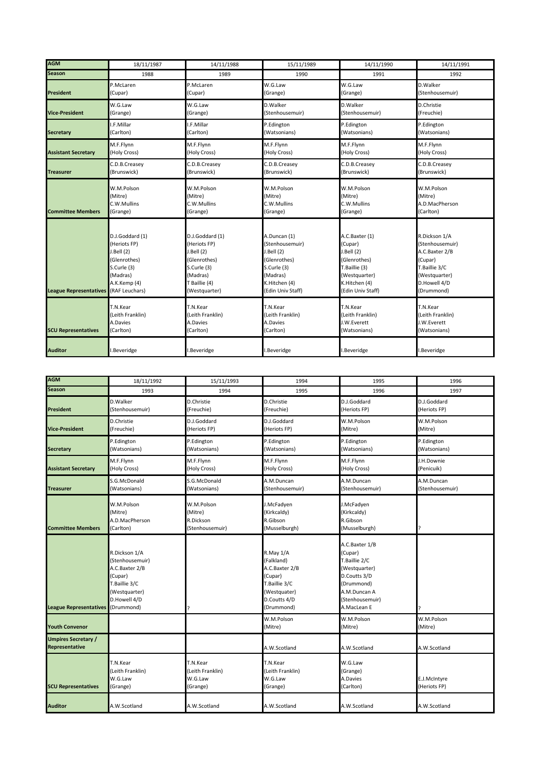| <b>AGM</b>                    | 18/11/1987       | 14/11/1988       | 15/11/1989        | 14/11/1990        | 14/11/1991       |
|-------------------------------|------------------|------------------|-------------------|-------------------|------------------|
| <b>Season</b>                 | 1988             | 1989             | 1990              | 1991              | 1992             |
| President                     | P.McLaren        | P.McLaren        | W.G.Law           | W.G.Law           | D.Walker         |
|                               | (Cupar)          | (Cupar)          | (Grange)          | (Grange)          | (Stenhousemuir)  |
| <b>Vice-President</b>         | W.G.Law          | W.G.Law          | D.Walker          | D.Walker          | D.Christie       |
|                               | (Grange)         | (Grange)         | (Stenhousemuir)   | (Stenhousemuir)   | (Freuchie)       |
| <b>Secretary</b>              | I.F.Millar       | I.F.Millar       | P.Edington        | P.Edington        | P.Edington       |
|                               | (Carlton)        | (Carlton)        | (Watsonians)      | (Watsonians)      | (Watsonians)     |
| <b>Assistant Secretary</b>    | M.F.Flynn        | M.F.Flynn        | M.F.Flynn         | M.F.Flynn         | M.F.Flynn        |
|                               | (Holy Cross)     | (Holy Cross)     | (Holy Cross)      | (Holy Cross)      | (Holy Cross)     |
| <b>Treasurer</b>              | C.D.B.Creasey    | C.D.B.Creasey    | C.D.B.Creasey     | C.D.B.Creasev     | C.D.B.Creasey    |
|                               | (Brunswick)      | (Brunswick)      | (Brunswick)       | (Brunswick)       | (Brunswick)      |
| <b>Committee Members</b>      | W.M.Polson       | W.M.Polson       | W.M.Polson        | W.M.Polson        | W.M.Polson       |
|                               | (Mitre)          | (Mitre)          | (Mitre)           | (Mitre)           | (Mitre)          |
|                               | C.W.Mullins      | C.W.Mullins      | C.W.Mullins       | C.W.Mullins       | A.D.MacPherson   |
|                               | (Grange)         | (Grange)         | (Grange)          | (Grange)          | (Carlton)        |
| <b>League Representatives</b> | D.J.Goddard (1)  | D.J.Goddard (1)  | A.Duncan (1)      | A.C.Baxter (1)    | R.Dickson 1/A    |
|                               | (Heriots FP)     | (Heriots FP)     | (Stenhousemuir)   | (Cupar)           | (Stenhousemuir)  |
|                               | J.Bell (2)       | J.Bell (2)       | J.Bell (2)        | J.Bell (2)        | A.C.Baxter 2/B   |
|                               | (Glenrothes)     | (Glenrothes)     | (Glenrothes)      | (Glenrothes)      | (Cupar)          |
|                               | S.Curle (3)      | S.Curle (3)      | S.Curle (3)       | T.Baillie (3)     | T.Baillie 3/C    |
|                               | (Madras)         | (Madras)         | (Madras)          | (Westquarter)     | (Westquarter)    |
|                               | A.K.Kemp (4)     | T Baillie (4)    | K.Hitchen (4)     | K.Hitchen (4)     | D.Howell 4/D     |
|                               | (RAF Leuchars)   | (Westquarter)    | (Edin Univ Staff) | (Edin Univ Staff) | (Drummond)       |
| <b>SCU Representatives</b>    | T.N.Kear         | T.N.Kear         | T.N.Kear          | T.N.Kear          | T.N.Kear         |
|                               | (Leith Franklin) | (Leith Franklin) | (Leith Franklin)  | (Leith Franklin)  | (Leith Franklin) |
|                               | A.Davies         | A.Davies         | A.Davies          | J.W.Everett       | J.W.Everett      |
|                               | (Carlton)        | (Carlton)        | (Carlton)         | (Watsonians)      | (Watsonians)     |
| <b>Auditor</b>                | I.Beveridge      | .Beveridge       | I.Beveridge       | .Beveridge        | I.Beveridge      |

| <b>AGM</b>                                          | 18/11/1992                                                                                                                    | 15/11/1993                                            | 1994                                                                                                                | 1995                                                                                                                                        | 1996                          |
|-----------------------------------------------------|-------------------------------------------------------------------------------------------------------------------------------|-------------------------------------------------------|---------------------------------------------------------------------------------------------------------------------|---------------------------------------------------------------------------------------------------------------------------------------------|-------------------------------|
| <b>Season</b>                                       | 1993                                                                                                                          | 1994                                                  | 1995                                                                                                                | 1996                                                                                                                                        | 1997                          |
| <b>President</b>                                    | D. Walker<br>(Stenhousemuir)                                                                                                  | D.Christie<br>(Freuchie)                              | D.Christie<br>(Freuchie)                                                                                            | D.J.Goddard<br>(Heriots FP)                                                                                                                 | D.J.Goddard<br>(Heriots FP)   |
| <b>Vice-President</b>                               | D.Christie<br>(Freuchie)                                                                                                      | D.J.Goddard<br>(Heriots FP)                           | D.J.Goddard<br>(Heriots FP)                                                                                         | W.M.Polson<br>(Mitre)                                                                                                                       | W.M.Polson<br>(Mitre)         |
| <b>Secretary</b>                                    | P.Edington<br>(Watsonians)                                                                                                    | P.Edington<br>(Watsonians)                            | P.Edington<br>(Watsonians)                                                                                          | P.Edington<br>(Watsonians)                                                                                                                  | P.Edington<br>(Watsonians)    |
| <b>Assistant Secretary</b>                          | M.F.Flynn<br>(Holy Cross)                                                                                                     | M.F.Flynn<br>(Holy Cross)                             | M.F.Flynn<br>(Holy Cross)                                                                                           | M.F.Flynn<br>(Holy Cross)                                                                                                                   | J.H.Downie<br>(Penicuik)      |
| <b>Treasurer</b>                                    | S.G.McDonald<br>(Watsonians)                                                                                                  | S.G.McDonald<br>(Watsonians)                          | A.M.Duncan<br>(Stenhousemuir)                                                                                       | A.M.Duncan<br>(Stenhousemuir)                                                                                                               | A.M.Duncan<br>(Stenhousemuir) |
| <b>Committee Members</b>                            | W.M.Polson<br>(Mitre)<br>A.D.MacPherson<br>(Carlton)                                                                          | W.M.Polson<br>(Mitre)<br>R.Dickson<br>(Stenhousemuir) | J.McFadyen<br>(Kirkcaldy)<br>R.Gibson<br>(Musselburgh)                                                              | J.McFadyen<br>(Kirkcaldy)<br>R.Gibson<br>(Musselburgh)                                                                                      | l?                            |
| <b>League Representatives</b>                       | R.Dickson 1/A<br>(Stenhousemuir)<br>A.C.Baxter 2/B<br>(Cupar)<br>T.Baillie 3/C<br>(Westquarter)<br>D.Howell 4/D<br>(Drummond) |                                                       | R.May 1/A<br>(Falkland)<br>A.C.Baxter 2/B<br>(Cupar)<br>T.Baillie 3/C<br>(Westquater)<br>D.Coutts 4/D<br>(Drummond) | A.C.Baxter 1/B<br>(Cupar)<br>T.Baillie 2/C<br>(Westquarter)<br>D.Coutts 3/D<br>(Drummond)<br>A.M.Duncan A<br>(Stenhousemuir)<br>A.MacLean E |                               |
| <b>Youth Convenor</b>                               |                                                                                                                               |                                                       | W.M.Polson<br>(Mitre)                                                                                               | W.M.Polson<br>(Mitre)                                                                                                                       | W.M.Polson<br>(Mitre)         |
| <b>Umpires Secretary /</b><br><b>Representative</b> |                                                                                                                               |                                                       | A.W.Scotland                                                                                                        | A.W.Scotland                                                                                                                                | A.W.Scotland                  |
| <b>SCU Representatives</b>                          | T.N.Kear<br>(Leith Franklin)<br>W.G.Law<br>(Grange)                                                                           | T.N.Kear<br>(Leith Franklin)<br>W.G.Law<br>(Grange)   | T.N.Kear<br>(Leith Franklin)<br>W.G.Law<br>(Grange)                                                                 | W.G.Law<br>(Grange)<br>A.Davies<br>(Carlton)                                                                                                | E.J.McIntyre<br>(Heriots FP)  |
| <b>Auditor</b>                                      | A.W.Scotland                                                                                                                  | A.W.Scotland                                          | A.W.Scotland                                                                                                        | A.W.Scotland                                                                                                                                | A.W.Scotland                  |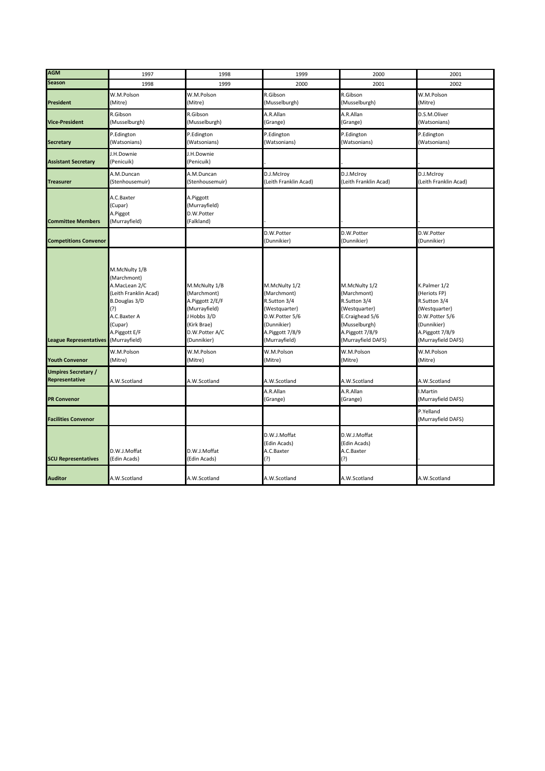| <b>AGM</b>                                          | 1997                                                                                                                                                        | 1998                                                                                                                            | 1999                                                                                                                               | 2000                                                                                                                                       | 2001                                                                                                                                    |
|-----------------------------------------------------|-------------------------------------------------------------------------------------------------------------------------------------------------------------|---------------------------------------------------------------------------------------------------------------------------------|------------------------------------------------------------------------------------------------------------------------------------|--------------------------------------------------------------------------------------------------------------------------------------------|-----------------------------------------------------------------------------------------------------------------------------------------|
| <b>Season</b>                                       | 1998                                                                                                                                                        | 1999                                                                                                                            | 2000                                                                                                                               | 2001                                                                                                                                       | 2002                                                                                                                                    |
| <b>President</b>                                    | W.M.Polson<br>(Mitre)                                                                                                                                       | W.M.Polson<br>(Mitre)                                                                                                           | R.Gibson<br>(Musselburgh)                                                                                                          | R.Gibson<br>(Musselburgh)                                                                                                                  | W.M.Polson<br>(Mitre)                                                                                                                   |
| <b>Vice-President</b>                               | R.Gibson<br>(Musselburgh)                                                                                                                                   | R.Gibson<br>(Musselburgh)                                                                                                       | A.R.Allan<br>(Grange)                                                                                                              | A.R.Allan<br>(Grange)                                                                                                                      | D.S.M.Oliver<br>(Watsonians)                                                                                                            |
| <b>Secretary</b>                                    | P.Edington<br>(Watsonians)                                                                                                                                  | P.Edington<br>(Watsonians)                                                                                                      | P.Edington<br>(Watsonians)                                                                                                         | P.Edington<br>(Watsonians)                                                                                                                 | P.Edington<br>(Watsonians)                                                                                                              |
| <b>Assistant Secretary</b>                          | J.H.Downie<br>(Penicuik)                                                                                                                                    | J.H.Downie<br>(Penicuik)                                                                                                        |                                                                                                                                    |                                                                                                                                            |                                                                                                                                         |
| <b>Treasurer</b>                                    | A.M.Duncan<br>(Stenhousemuir)                                                                                                                               | A.M.Duncan<br>(Stenhousemuir)                                                                                                   | D.J.McIroy<br>(Leith Franklin Acad)                                                                                                | D.J.McIroy<br>(Leith Franklin Acad)                                                                                                        | D.J.McIroy<br>(Leith Franklin Acad)                                                                                                     |
| <b>Committee Members</b>                            | A.C.Baxter<br>(Cupar)<br>A.Piggot<br>(Murrayfield)                                                                                                          | A.Piggott<br>(Murrayfield)<br>D.W.Potter<br>(Falkland)                                                                          |                                                                                                                                    |                                                                                                                                            |                                                                                                                                         |
| <b>Competitions Convenor</b>                        |                                                                                                                                                             |                                                                                                                                 | D.W.Potter<br>(Dunnikier)                                                                                                          | D.W.Potter<br>(Dunnikier)                                                                                                                  | D.W.Potter<br>(Dunnikier)                                                                                                               |
| <b>League Representatives</b>                       | M.McNulty 1/B<br>(Marchmont)<br>A.MacLean 2/C<br>(Leith Franklin Acad)<br>B.Douglas 3/D<br>(?)<br>A.C.Baxter A<br>(Cupar)<br>A.Piggott E/F<br>(Murrayfield) | M.McNulty 1/B<br>(Marchmont)<br>A.Piggott 2/E/F<br>(Murrayfield)<br>J Hobbs 3/D<br>(Kirk Brae)<br>D.W.Potter A/C<br>(Dunnikier) | M.McNulty 1/2<br>(Marchmont)<br>R.Sutton 3/4<br>(Westquarter)<br>D.W.Potter 5/6<br>(Dunnikier)<br>A.Piggott 7/8/9<br>(Murrayfield) | M.McNulty 1/2<br>(Marchmont)<br>R.Sutton 3/4<br>(Westquarter)<br>E.Craighead 5/6<br>(Musselburgh)<br>A.Piggott 7/8/9<br>(Murrayfield DAFS) | K.Palmer 1/2<br>(Heriots FP)<br>R.Sutton 3/4<br>(Westquarter)<br>D.W.Potter 5/6<br>(Dunnikier)<br>A.Piggott 7/8/9<br>(Murrayfield DAFS) |
| <b>Youth Convenor</b>                               | W.M.Polson<br>(Mitre)                                                                                                                                       | W.M.Polson<br>(Mitre)                                                                                                           | W.M.Polson<br>(Mitre)                                                                                                              | W.M.Polson<br>(Mitre)                                                                                                                      | W.M.Polson<br>(Mitre)                                                                                                                   |
| <b>Umpires Secretary /</b><br><b>Representative</b> | A.W.Scotland                                                                                                                                                | A.W.Scotland                                                                                                                    | A.W.Scotland                                                                                                                       | A.W.Scotland                                                                                                                               | A.W.Scotland                                                                                                                            |
| <b>PR Convenor</b>                                  |                                                                                                                                                             |                                                                                                                                 | A.R.Allan<br>(Grange)                                                                                                              | A.R.Allan<br>(Grange)                                                                                                                      | I.Martin<br>(Murrayfield DAFS)                                                                                                          |
| <b>Facilities Convenor</b>                          |                                                                                                                                                             |                                                                                                                                 |                                                                                                                                    |                                                                                                                                            | P.Yelland<br>(Murrayfield DAFS)                                                                                                         |
| <b>SCU Representatives</b>                          | D.W.J.Moffat<br>(Edin Acads)                                                                                                                                | D.W.J.Moffat<br>(Edin Acads)                                                                                                    | D.W.J.Moffat<br>(Edin Acads)<br>A.C.Baxter<br>(?)                                                                                  | D.W.J.Moffat<br>(Edin Acads)<br>A.C.Baxter<br>(?)                                                                                          |                                                                                                                                         |
| <b>Auditor</b>                                      | A.W.Scotland                                                                                                                                                | A.W.Scotland                                                                                                                    | A.W.Scotland                                                                                                                       | A.W.Scotland                                                                                                                               | A.W.Scotland                                                                                                                            |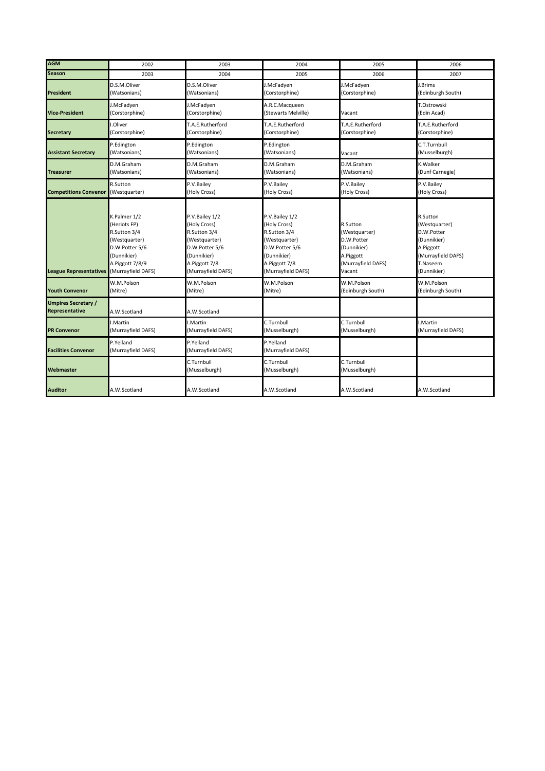| <b>AGM</b>                                          | 2002                                                                                                                                    | 2003                                                                                                                                    | 2004                                                                                                                                    | 2005                                                                                                | 2006                                                                                                                 |
|-----------------------------------------------------|-----------------------------------------------------------------------------------------------------------------------------------------|-----------------------------------------------------------------------------------------------------------------------------------------|-----------------------------------------------------------------------------------------------------------------------------------------|-----------------------------------------------------------------------------------------------------|----------------------------------------------------------------------------------------------------------------------|
| <b>Season</b>                                       | 2003                                                                                                                                    | 2004                                                                                                                                    | 2005                                                                                                                                    | 2006                                                                                                | 2007                                                                                                                 |
| <b>President</b>                                    | D.S.M.Oliver<br>(Watsonians)                                                                                                            | D.S.M.Oliver<br>(Watsonians)                                                                                                            | I.McFadyen<br>(Corstorphine)                                                                                                            | J.McFadyen<br>(Corstorphine)                                                                        | J.Brims<br>(Edinburgh South)                                                                                         |
| <b>Vice-President</b>                               | I.McFadyen<br>(Corstorphine)                                                                                                            | J.McFadyen<br>(Corstorphine)                                                                                                            | A.R.C.Macqueen<br>Stewarts Melville)                                                                                                    | Vacant                                                                                              | T.Ostrowski<br>(Edin Acad)                                                                                           |
| <b>Secretary</b>                                    | .Oliver<br>(Corstorphine)                                                                                                               | T.A.E.Rutherford<br>(Corstorphine)                                                                                                      | T.A.E.Rutherford<br>(Corstorphine)                                                                                                      | T.A.E.Rutherford<br>(Corstorphine)                                                                  | T.A.E.Rutherford<br>(Corstorphine)                                                                                   |
| <b>Assistant Secretary</b>                          | P.Edington<br>(Watsonians)                                                                                                              | P.Edington<br>(Watsonians)                                                                                                              | P.Edington<br>(Watsonians)                                                                                                              | Vacant                                                                                              | C.T.Turnbull<br>(Musselburgh)                                                                                        |
| <b>Treasurer</b>                                    | D.M.Graham<br>(Watsonians)                                                                                                              | D.M.Graham<br>(Watsonians)                                                                                                              | D.M.Graham<br>(Watsonians)                                                                                                              | D.M.Graham<br>(Watsonians)                                                                          | K.Walker<br>(Dunf Carnegie)                                                                                          |
| <b>Competitions Convenor</b>                        | R.Sutton<br>(Westquarter)                                                                                                               | P.V.Bailey<br>(Holy Cross)                                                                                                              | P.V.Bailey<br>(Holy Cross)                                                                                                              | P.V.Bailey<br>(Holy Cross)                                                                          | P.V.Bailey<br>(Holy Cross)                                                                                           |
| <b>League Representatives</b>                       | K.Palmer 1/2<br>(Heriots FP)<br>R.Sutton 3/4<br>(Westquarter)<br>D.W.Potter 5/6<br>(Dunnikier)<br>A.Piggott 7/8/9<br>(Murrayfield DAFS) | P.V.Bailey 1/2<br>(Holy Cross)<br>R.Sutton 3/4<br>(Westquarter)<br>D.W.Potter 5/6<br>(Dunnikier)<br>A.Piggott 7/8<br>(Murrayfield DAFS) | P.V.Bailey 1/2<br>(Holy Cross)<br>R.Sutton 3/4<br>(Westquarter)<br>D.W.Potter 5/6<br>(Dunnikier)<br>A.Piggott 7/8<br>(Murrayfield DAFS) | R.Sutton<br>(Westquarter)<br>D.W.Potter<br>(Dunnikier)<br>A.Piggott<br>(Murrayfield DAFS)<br>Vacant | R.Sutton<br>(Westquarter)<br>D.W.Potter<br>(Dunnikier)<br>A.Piggott<br>(Murrayfield DAFS)<br>T.Naseem<br>(Dunnikier) |
| <b>Youth Convenor</b>                               | W.M.Polson<br>(Mitre)                                                                                                                   | W.M.Polson<br>(Mitre)                                                                                                                   | W.M.Polson<br>(Mitre)                                                                                                                   | W.M.Polson<br>(Edinburgh South)                                                                     | W.M.Polson<br>(Edinburgh South)                                                                                      |
| <b>Umpires Secretary /</b><br><b>Representative</b> | A.W.Scotland                                                                                                                            | A.W.Scotland                                                                                                                            |                                                                                                                                         |                                                                                                     |                                                                                                                      |
| <b>PR Convenor</b>                                  | .Martin<br>(Murrayfield DAFS)                                                                                                           | I.Martin<br>(Murrayfield DAFS)                                                                                                          | C.Turnbull<br>(Musselburgh)                                                                                                             | C.Turnbull<br>(Musselburgh)                                                                         | I.Martin<br>(Murrayfield DAFS)                                                                                       |
| <b>Facilities Convenor</b>                          | P.Yelland<br>(Murrayfield DAFS)                                                                                                         | P.Yelland<br>(Murrayfield DAFS)                                                                                                         | P.Yelland<br>(Murrayfield DAFS)                                                                                                         |                                                                                                     |                                                                                                                      |
| Webmaster                                           |                                                                                                                                         | C.Turnbull<br>(Musselburgh)                                                                                                             | C.Turnbull<br>(Musselburgh)                                                                                                             | C.Turnbull<br>(Musselburgh)                                                                         |                                                                                                                      |
| <b>Auditor</b>                                      | A.W.Scotland                                                                                                                            | A.W.Scotland                                                                                                                            | A.W.Scotland                                                                                                                            | A.W.Scotland                                                                                        | A.W.Scotland                                                                                                         |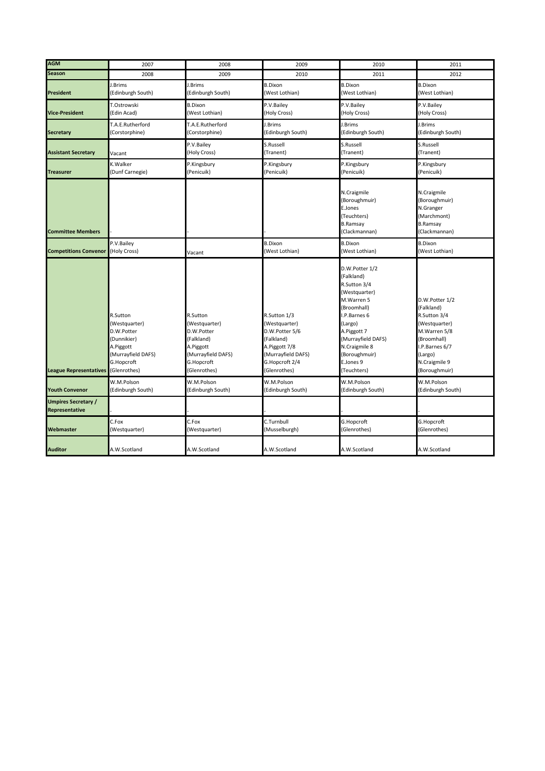| <b>AGM</b>                                   | 2007                                                                                                                    | 2008                                                                                                                   | 2009                                                                                                                                   | 2010                                                                                                                                                                                                                     | 2011                                                                                                                                                        |
|----------------------------------------------|-------------------------------------------------------------------------------------------------------------------------|------------------------------------------------------------------------------------------------------------------------|----------------------------------------------------------------------------------------------------------------------------------------|--------------------------------------------------------------------------------------------------------------------------------------------------------------------------------------------------------------------------|-------------------------------------------------------------------------------------------------------------------------------------------------------------|
| <b>Season</b>                                | 2008                                                                                                                    | 2009                                                                                                                   | 2010                                                                                                                                   | 2011                                                                                                                                                                                                                     | 2012                                                                                                                                                        |
| <b>President</b>                             | J.Brims<br>(Edinburgh South)                                                                                            | J.Brims<br>(Edinburgh South)                                                                                           | <b>B.Dixon</b><br>(West Lothian)                                                                                                       | <b>B.Dixon</b><br>(West Lothian)                                                                                                                                                                                         | <b>B.Dixon</b><br>(West Lothian)                                                                                                                            |
| <b>Vice-President</b>                        | T.Ostrowski<br>(Edin Acad)                                                                                              | <b>B.Dixon</b><br>(West Lothian)                                                                                       | P.V.Bailey<br>(Holy Cross)                                                                                                             | P.V.Bailey<br>(Holy Cross)                                                                                                                                                                                               | P.V.Bailey<br>(Holy Cross)                                                                                                                                  |
| <b>Secretary</b>                             | T.A.E.Rutherford<br>(Corstorphine)                                                                                      | T.A.E.Rutherford<br>(Corstorphine)                                                                                     | J.Brims<br>(Edinburgh South)                                                                                                           | J.Brims<br>(Edinburgh South)                                                                                                                                                                                             | J.Brims<br>(Edinburgh South)                                                                                                                                |
| <b>Assistant Secretary</b>                   | Vacant                                                                                                                  | P.V.Bailey<br>(Holy Cross)                                                                                             | S.Russell<br>(Tranent)                                                                                                                 | S.Russell<br>(Tranent)                                                                                                                                                                                                   | S.Russell<br>(Tranent)                                                                                                                                      |
| <b>Treasurer</b>                             | K.Walker<br>(Dunf Carnegie)                                                                                             | P.Kingsbury<br>(Penicuik)                                                                                              | P.Kingsbury<br>(Penicuik)                                                                                                              | P.Kingsbury<br>(Penicuik)                                                                                                                                                                                                | P.Kingsbury<br>(Penicuik)                                                                                                                                   |
| <b>Committee Members</b>                     |                                                                                                                         |                                                                                                                        |                                                                                                                                        | N.Craigmile<br>(Boroughmuir)<br>E.Jones<br>(Teuchters)<br><b>B.Ramsay</b><br>(Clackmannan)                                                                                                                               | N.Craigmile<br>(Boroughmuir)<br>N.Granger<br>(Marchmont)<br><b>B.Ramsay</b><br>(Clackmannan)                                                                |
| <b>Competitions Convenor</b>                 | P.V.Bailey<br>(Holy Cross)                                                                                              | Vacant                                                                                                                 | <b>B.Dixon</b><br>(West Lothian)                                                                                                       | <b>B.Dixon</b><br>(West Lothian)                                                                                                                                                                                         | <b>B.Dixon</b><br>(West Lothian)                                                                                                                            |
| <b>League Representatives</b>                | R.Sutton<br>(Westquarter)<br>D.W.Potter<br>(Dunnikier)<br>A.Piggott<br>(Murrayfield DAFS)<br>G.Hopcroft<br>(Glenrothes) | R.Sutton<br>(Westquarter)<br>D.W.Potter<br>(Falkland)<br>A.Piggott<br>(Murrayfield DAFS)<br>G.Hopcroft<br>(Glenrothes) | R.Sutton 1/3<br>(Westquarter)<br>D.W.Potter 5/6<br>(Falkland)<br>A.Piggott 7/8<br>(Murrayfield DAFS)<br>G.Hopcroft 2/4<br>(Glenrothes) | D.W.Potter 1/2<br>(Falkland)<br>R.Sutton 3/4<br>(Westquarter)<br>M.Warren 5<br>(Broomhall)<br>I.P.Barnes 6<br>(Largo)<br>A.Piggott 7<br>(Murrayfield DAFS)<br>N.Craigmile 8<br>(Boroughmuir)<br>E.Jones 9<br>(Teuchters) | D.W.Potter 1/2<br>(Falkland)<br>R.Sutton 3/4<br>(Westquarter)<br>M.Warren 5/8<br>(Broomhall)<br>I.P.Barnes 6/7<br>(Largo)<br>N.Craigmile 9<br>(Boroughmuir) |
| <b>Youth Convenor</b>                        | W.M.Polson<br>(Edinburgh South)                                                                                         | W.M.Polson<br>(Edinburgh South)                                                                                        | W.M.Polson<br>(Edinburgh South)                                                                                                        | W.M.Polson<br>(Edinburgh South)                                                                                                                                                                                          | W.M.Polson<br>(Edinburgh South)                                                                                                                             |
| <b>Umpires Secretary /</b><br>Representative |                                                                                                                         |                                                                                                                        |                                                                                                                                        |                                                                                                                                                                                                                          |                                                                                                                                                             |
| Webmaster                                    | C.Fox<br>(Westquarter)                                                                                                  | C.Fox<br>(Westquarter)                                                                                                 | C.Turnbull<br>(Musselburgh)                                                                                                            | G.Hopcroft<br>(Glenrothes)                                                                                                                                                                                               | G.Hopcroft<br>(Glenrothes)                                                                                                                                  |
| <b>Auditor</b>                               | A.W.Scotland                                                                                                            | A.W.Scotland                                                                                                           | A.W.Scotland                                                                                                                           | A.W.Scotland                                                                                                                                                                                                             | A.W.Scotland                                                                                                                                                |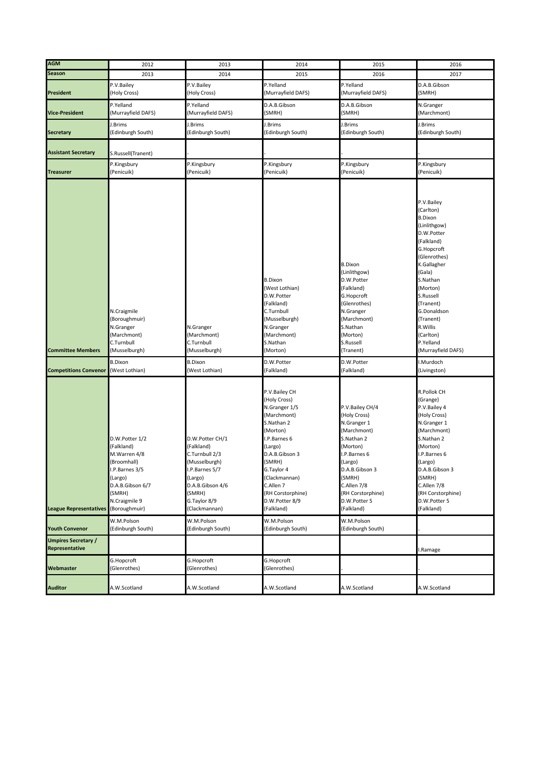| <b>AGM</b>                    | 2012               | 2013               | 2014               | 2015               | 2016               |
|-------------------------------|--------------------|--------------------|--------------------|--------------------|--------------------|
| <b>Season</b>                 | 2013               | 2014               | 2015               | 2016               | 2017               |
|                               |                    |                    |                    |                    |                    |
|                               | P.V.Bailey         | P.V.Bailey         | P.Yelland          | P.Yelland          | D.A.B.Gibson       |
| <b>President</b>              | (Holy Cross)       | (Holy Cross)       | (Murrayfield DAFS) | (Murrayfield DAFS) | (SMRH)             |
|                               | P.Yelland          | P.Yelland          | D.A.B.Gibson       | D.A.B.Gibson       | N.Granger          |
| <b>Vice-President</b>         | (Murrayfield DAFS) | (Murrayfield DAFS) | (SMRH)             | (SMRH)             | (Marchmont)        |
|                               |                    |                    |                    |                    |                    |
|                               | J.Brims            | J.Brims            | I.Brims            | J.Brims            | J.Brims            |
| <b>Secretary</b>              | (Edinburgh South)  | (Edinburgh South)  | (Edinburgh South)  | (Edinburgh South)  | (Edinburgh South)  |
|                               |                    |                    |                    |                    |                    |
|                               |                    |                    |                    |                    |                    |
| <b>Assistant Secretary</b>    | S.Russell(Tranent) |                    |                    |                    |                    |
|                               | P.Kingsbury        | P.Kingsbury        | P.Kingsbury        | P.Kingsbury        | P.Kingsbury        |
| <b>Treasurer</b>              | (Penicuik)         | (Penicuik)         | (Penicuik)         | (Penicuik)         | (Penicuik)         |
|                               |                    |                    |                    |                    |                    |
|                               |                    |                    |                    |                    |                    |
|                               |                    |                    |                    |                    |                    |
|                               |                    |                    |                    |                    | P.V.Bailey         |
|                               |                    |                    |                    |                    |                    |
|                               |                    |                    |                    |                    | (Carlton)          |
|                               |                    |                    |                    |                    | <b>B.Dixon</b>     |
|                               |                    |                    |                    |                    | (Linlithgow)       |
|                               |                    |                    |                    |                    | D.W.Potter         |
|                               |                    |                    |                    |                    | (Falkland)         |
|                               |                    |                    |                    |                    | G.Hopcroft         |
|                               |                    |                    |                    |                    | (Glenrothes)       |
|                               |                    |                    |                    |                    |                    |
|                               |                    |                    |                    | <b>B.Dixon</b>     | K.Gallagher        |
|                               |                    |                    |                    | (Linlithgow)       | (Gala)             |
|                               |                    |                    | <b>B.Dixon</b>     | D.W.Potter         | S.Nathan           |
|                               |                    |                    | (West Lothian)     | (Falkland)         | (Morton)           |
|                               |                    |                    | D.W.Potter         | G.Hopcroft         | S.Russell          |
|                               |                    |                    | (Falkland)         | (Glenrothes)       | (Tranent)          |
|                               | N.Craigmile        |                    | C.Turnbull         | N.Granger          | G.Donaldson        |
|                               |                    |                    |                    |                    |                    |
|                               | (Boroughmuir)      |                    | (Musselburgh)      | (Marchmont)        | (Tranent)          |
|                               | N.Granger          | N.Granger          | N.Granger          | S.Nathan           | R. Willis          |
|                               | (Marchmont)        | (Marchmont)        | (Marchmont)        | (Morton)           | (Carlton)          |
|                               | C.Turnbull         | C.Turnbull         | S.Nathan           | S.Russell          | P.Yelland          |
| <b>Committee Members</b>      | (Musselburgh)      | (Musselburgh)      | (Morton)           | (Tranent)          | (Murrayfield DAFS) |
|                               |                    |                    |                    |                    |                    |
|                               | <b>B.Dixon</b>     | <b>B.Dixon</b>     | D.W.Potter         | D.W.Potter         | I.Murdoch          |
| <b>Competitions Convenor</b>  | (West Lothian)     | (West Lothian)     | (Falkland)         | (Falkland)         | (Livingston)       |
|                               |                    |                    |                    |                    |                    |
|                               |                    |                    |                    |                    |                    |
|                               |                    |                    | P.V.Bailey CH      |                    | R.Pollok CH        |
|                               |                    |                    | (Holy Cross)       |                    | (Grange)           |
|                               |                    |                    | N.Granger 1/5      | P.V.Bailey CH/4    | P.V.Bailey 4       |
|                               |                    |                    | (Marchmont)        | (Holy Cross)       | (Holy Cross)       |
|                               |                    |                    | S.Nathan 2         | N.Granger 1        | N.Granger 1        |
|                               |                    |                    | (Morton)           | (Marchmont)        | (Marchmont)        |
|                               | D.W.Potter 1/2     | D.W.Potter CH/1    | I.P.Barnes 6       | S.Nathan 2         | S.Nathan 2         |
|                               | (Falkland)         | (Falkland)         | (Largo)            | (Morton)           | (Morton)           |
|                               | M.Warren 4/8       | C.Turnbull 2/3     | D.A.B.Gibson 3     | I.P.Barnes 6       | I.P.Barnes 6       |
|                               |                    |                    |                    |                    |                    |
|                               | (Broomhall)        | (Musselburgh)      | (SMRH)             | (Largo)            | (Largo)            |
|                               | I.P.Barnes 3/5     | I.P.Barnes 5/7     | G.Taylor 4         | D.A.B.Gibson 3     | D.A.B.Gibson 3     |
|                               | (Largo)            | (Largo)            | (Clackmannan)      | (SMRH)             | (SMRH)             |
|                               | D.A.B.Gibson 6/7   | D.A.B.Gibson 4/6   | C.Allen 7          | C.Allen 7/8        | C.Allen 7/8        |
|                               | (SMRH)             | (SMRH)             | (RH Corstorphine)  | (RH Corstorphine)  | (RH Corstorphine)  |
|                               | N.Craigmile 9      | G.Taylor 8/9       | D.W.Potter 8/9     | D.W.Potter 5       | D.W.Potter 5       |
| <b>League Representatives</b> | (Boroughmuir)      | (Clackmannan)      | (Falkland)         | (Falkland)         | (Falkland)         |
|                               |                    |                    |                    |                    |                    |
|                               | W.M.Polson         | W.M.Polson         | W.M.Polson         | W.M.Polson         |                    |
| <b>Youth Convenor</b>         | (Edinburgh South)  | (Edinburgh South)  | (Edinburgh South)  | (Edinburgh South)  |                    |
|                               |                    |                    |                    |                    |                    |
| <b>Umpires Secretary /</b>    |                    |                    |                    |                    |                    |
| Representative                |                    |                    |                    |                    | I.Ramage           |
|                               | G.Hopcroft         | G.Hopcroft         | G.Hopcroft         |                    |                    |
| Webmaster                     | (Glenrothes)       | (Glenrothes)       | (Glenrothes)       |                    |                    |
|                               |                    |                    |                    |                    |                    |
|                               |                    |                    |                    |                    |                    |
| <b>Auditor</b>                | A.W.Scotland       | A.W.Scotland       | A.W.Scotland       | A.W.Scotland       | A.W.Scotland       |
|                               |                    |                    |                    |                    |                    |